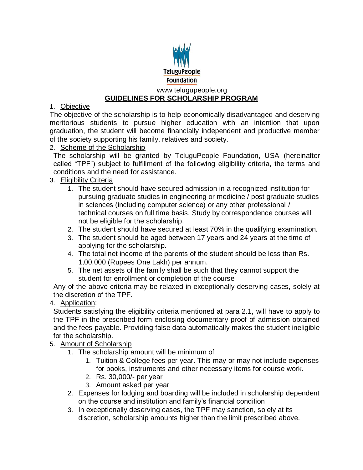

#### www.telugupeople.org **GUIDELINES FOR SCHOLARSHIP PROGRAM**

## 1. Objective

The objective of the scholarship is to help economically disadvantaged and deserving meritorious students to pursue higher education with an intention that upon graduation, the student will become financially independent and productive member of the society supporting his family, relatives and society.

### 2. Scheme of the Scholarship

The scholarship will be granted by TeluguPeople Foundation, USA (hereinafter called "TPF") subject to fulfillment of the following eligibility criteria, the terms and conditions and the need for assistance.

## 3. Eligibility Criteria

- 1. The student should have secured admission in a recognized institution for pursuing graduate studies in engineering or medicine / post graduate studies in sciences (including computer science) or any other professional / technical courses on full time basis. Study by correspondence courses will not be eligible for the scholarship.
- 2. The student should have secured at least 70% in the qualifying examination.
- 3. The student should be aged between 17 years and 24 years at the time of applying for the scholarship.
- 4. The total net income of the parents of the student should be less than Rs. 1,00,000 (Rupees One Lakh) per annum.
- 5. The net assets of the family shall be such that they cannot support the student for enrollment or completion of the course

Any of the above criteria may be relaxed in exceptionally deserving cases, solely at the discretion of the TPF.

### 4. Application:

Students satisfying the eligibility criteria mentioned at para 2.1, will have to apply to the TPF in the prescribed form enclosing documentary proof of admission obtained and the fees payable. Providing false data automatically makes the student ineligible for the scholarship.

- 5. Amount of Scholarship
	- 1. The scholarship amount will be minimum of
		- 1. Tuition & College fees per year. This may or may not include expenses for books, instruments and other necessary items for course work.
		- 2. Rs. 30,000/- per year
		- 3. Amount asked per year
	- 2. Expenses for lodging and boarding will be included in scholarship dependent on the course and institution and family's financial condition
	- 3. In exceptionally deserving cases, the TPF may sanction, solely at its discretion, scholarship amounts higher than the limit prescribed above.